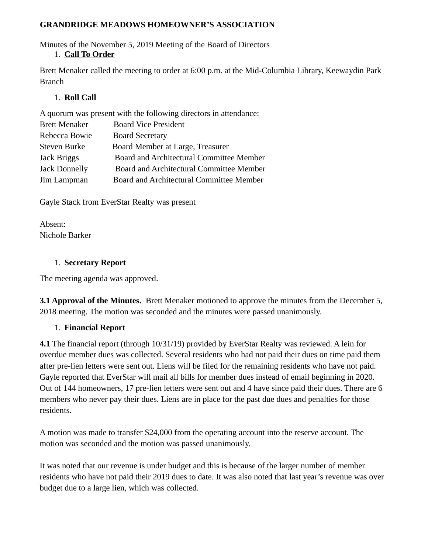#### **GRANDRIDGE MEADOWS HOMEOWNER'S ASSOCIATION**

Minutes of the November 5, 2019 Meeting of the Board of Directors 1. **Call To Order**

Brett Menaker called the meeting to order at 6:00 p.m. at the Mid-Columbia Library, Keewaydin Park Branch

#### 1. **Roll Call**

A quorum was present with the following directors in attendance:

| <b>Brett Menaker</b> | <b>Board Vice President</b>              |
|----------------------|------------------------------------------|
| Rebecca Bowie        | <b>Board Secretary</b>                   |
| <b>Steven Burke</b>  | Board Member at Large, Treasurer         |
| Jack Briggs          | Board and Architectural Committee Member |
| <b>Jack Donnelly</b> | Board and Architectural Committee Member |
| Jim Lampman          | Board and Architectural Committee Member |
|                      |                                          |

Gayle Stack from EverStar Realty was present

Absent: Nichole Barker

#### 1. **Secretary Report**

The meeting agenda was approved.

**3.1 Approval of the Minutes.** Brett Menaker motioned to approve the minutes from the December 5, 2018 meeting. The motion was seconded and the minutes were passed unanimously.

# 1. **Financial Report**

**4.1** The financial report (through 10/31/19) provided by EverStar Realty was reviewed. A lein for overdue member dues was collected. Several residents who had not paid their dues on time paid them after pre-lien letters were sent out. Liens will be filed for the remaining residents who have not paid. Gayle reported that EverStar will mail all bills for member dues instead of email beginning in 2020. Out of 144 homeowners, 17 pre-lien letters were sent out and 4 have since paid their dues. There are 6 members who never pay their dues. Liens are in place for the past due dues and penalties for those residents.

A motion was made to transfer \$24,000 from the operating account into the reserve account. The motion was seconded and the motion was passed unanimously.

It was noted that our revenue is under budget and this is because of the larger number of member residents who have not paid their 2019 dues to date. It was also noted that last year's revenue was over budget due to a large lien, which was collected.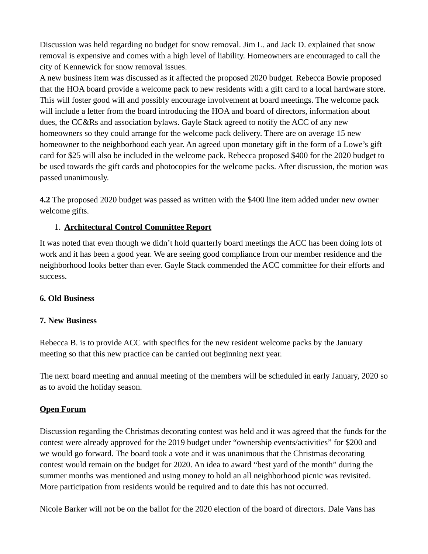Discussion was held regarding no budget for snow removal. Jim L. and Jack D. explained that snow removal is expensive and comes with a high level of liability. Homeowners are encouraged to call the city of Kennewick for snow removal issues.

A new business item was discussed as it affected the proposed 2020 budget. Rebecca Bowie proposed that the HOA board provide a welcome pack to new residents with a gift card to a local hardware store. This will foster good will and possibly encourage involvement at board meetings. The welcome pack will include a letter from the board introducing the HOA and board of directors, information about dues, the CC&Rs and association bylaws. Gayle Stack agreed to notify the ACC of any new homeowners so they could arrange for the welcome pack delivery. There are on average 15 new homeowner to the neighborhood each year. An agreed upon monetary gift in the form of a Lowe's gift card for \$25 will also be included in the welcome pack. Rebecca proposed \$400 for the 2020 budget to be used towards the gift cards and photocopies for the welcome packs. After discussion, the motion was passed unanimously.

**4.2** The proposed 2020 budget was passed as written with the \$400 line item added under new owner welcome gifts.

# 1. **Architectural Control Committee Report**

It was noted that even though we didn't hold quarterly board meetings the ACC has been doing lots of work and it has been a good year. We are seeing good compliance from our member residence and the neighborhood looks better than ever. Gayle Stack commended the ACC committee for their efforts and success.

# **6. Old Business**

#### **7. New Business**

Rebecca B. is to provide ACC with specifics for the new resident welcome packs by the January meeting so that this new practice can be carried out beginning next year.

The next board meeting and annual meeting of the members will be scheduled in early January, 2020 so as to avoid the holiday season.

# **Open Forum**

Discussion regarding the Christmas decorating contest was held and it was agreed that the funds for the contest were already approved for the 2019 budget under "ownership events/activities" for \$200 and we would go forward. The board took a vote and it was unanimous that the Christmas decorating contest would remain on the budget for 2020. An idea to award "best yard of the month" during the summer months was mentioned and using money to hold an all neighborhood picnic was revisited. More participation from residents would be required and to date this has not occurred.

Nicole Barker will not be on the ballot for the 2020 election of the board of directors. Dale Vans has